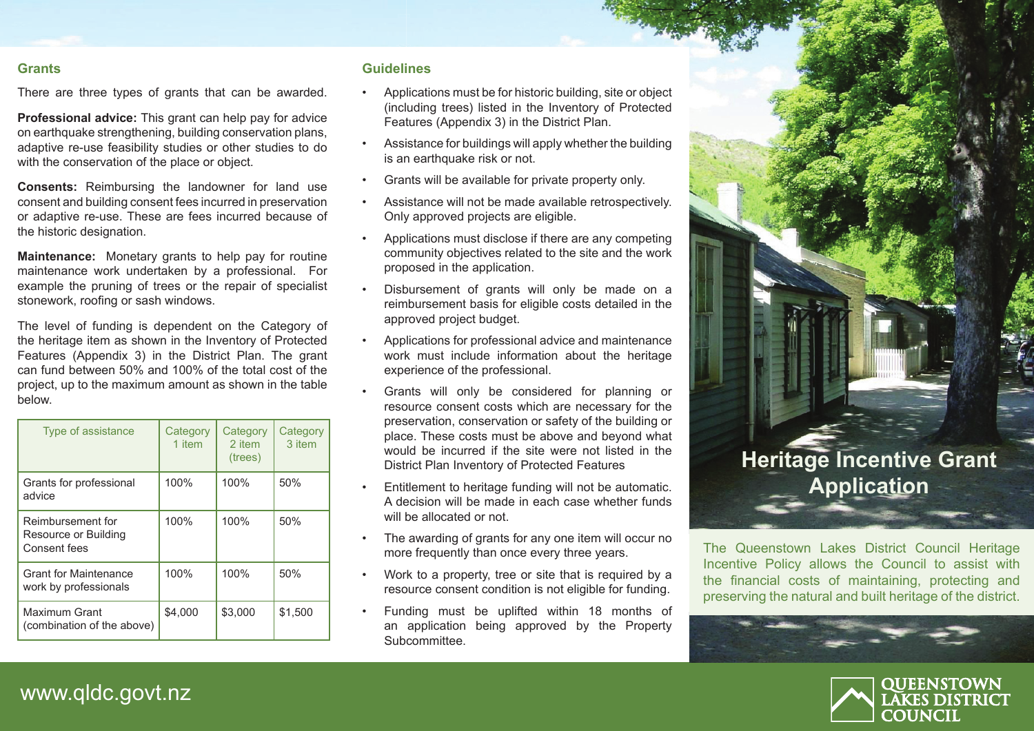#### **Grants**

There are three types of grants that can be awarded.

**Professional advice:** This grant can help pay for advice on earthquake strengthening, building conservation plans, adaptive re-use feasibility studies or other studies to do with the conservation of the place or object.

**Consents:** Reimbursing the landowner for land use consent and building consent fees incurred in preservation or adaptive re-use. These are fees incurred because of the historic designation.

**Maintenance:** Monetary grants to help pay for routine maintenance work undertaken by a professional. For example the pruning of trees or the repair of specialist stonework, roofing or sash windows.

The level of funding is dependent on the Category of the heritage item as shown in the Inventory of Protected Features (Appendix 3) in the District Plan. The grant can fund between 50% and 100% of the total cost of the project, up to the maximum amount as shown in the table below.

| Type of assistance                                        | Category<br>1 item | Category<br>2 item<br>(trees) | Category<br>3 item |
|-----------------------------------------------------------|--------------------|-------------------------------|--------------------|
| Grants for professional<br>advice                         | 100%               | 100%                          | 50%                |
| Reimbursement for<br>Resource or Building<br>Consent fees | 100%               | 100%                          | 50%                |
| <b>Grant for Maintenance</b><br>work by professionals     | 100%               | 100%                          | 50%                |
| Maximum Grant<br>(combination of the above)               | \$4,000            | \$3,000                       | \$1,500            |

### **Guidelines**

- Applications must be for historic building, site or object (including trees) listed in the Inventory of Protected Features (Appendix 3) in the District Plan.
- Assistance for buildings will apply whether the building is an earthquake risk or not.
- Grants will be available for private property only.
- Assistance will not be made available retrospectively. Only approved projects are eligible.
- Applications must disclose if there are any competing community objectives related to the site and the work proposed in the application.
- Disbursement of grants will only be made on a reimbursement basis for eligible costs detailed in the approved project budget.
- Applications for professional advice and maintenance work must include information about the heritage experience of the professional.
- Grants will only be considered for planning or resource consent costs which are necessary for the preservation, conservation or safety of the building or place. These costs must be above and beyond what would be incurred if the site were not listed in the District Plan Inventory of Protected Features
- Entitlement to heritage funding will not be automatic. A decision will be made in each case whether funds will be allocated or not.
- The awarding of grants for any one item will occur no more frequently than once every three years.
- Work to a property, tree or site that is required by a resource consent condition is not eligible for funding.
- Funding must be uplifted within 18 months of an application being approved by the Property Subcommittee.



The Queenstown Lakes District Council Heritage Incentive Policy allows the Council to assist with the financial costs of maintaining, protecting and preserving the natural and built heritage of the district.





www.qldc.govt.nz